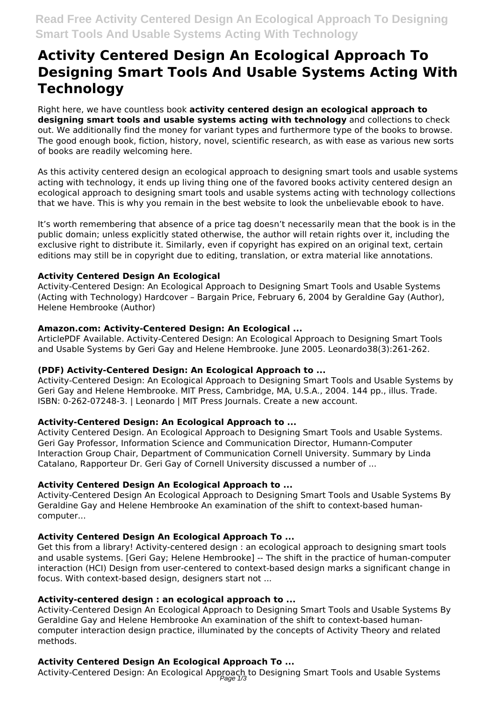# **Activity Centered Design An Ecological Approach To Designing Smart Tools And Usable Systems Acting With Technology**

Right here, we have countless book **activity centered design an ecological approach to designing smart tools and usable systems acting with technology** and collections to check out. We additionally find the money for variant types and furthermore type of the books to browse. The good enough book, fiction, history, novel, scientific research, as with ease as various new sorts of books are readily welcoming here.

As this activity centered design an ecological approach to designing smart tools and usable systems acting with technology, it ends up living thing one of the favored books activity centered design an ecological approach to designing smart tools and usable systems acting with technology collections that we have. This is why you remain in the best website to look the unbelievable ebook to have.

It's worth remembering that absence of a price tag doesn't necessarily mean that the book is in the public domain; unless explicitly stated otherwise, the author will retain rights over it, including the exclusive right to distribute it. Similarly, even if copyright has expired on an original text, certain editions may still be in copyright due to editing, translation, or extra material like annotations.

## **Activity Centered Design An Ecological**

Activity-Centered Design: An Ecological Approach to Designing Smart Tools and Usable Systems (Acting with Technology) Hardcover – Bargain Price, February 6, 2004 by Geraldine Gay (Author), Helene Hembrooke (Author)

## **Amazon.com: Activity-Centered Design: An Ecological ...**

ArticlePDF Available. Activity-Centered Design: An Ecological Approach to Designing Smart Tools and Usable Systems by Geri Gay and Helene Hembrooke. June 2005. Leonardo38(3):261-262.

# **(PDF) Activity-Centered Design: An Ecological Approach to ...**

Activity-Centered Design: An Ecological Approach to Designing Smart Tools and Usable Systems by Geri Gay and Helene Hembrooke. MIT Press, Cambridge, MA, U.S.A., 2004. 144 pp., illus. Trade. ISBN: 0-262-07248-3. | Leonardo | MIT Press Journals. Create a new account.

# **Activity-Centered Design: An Ecological Approach to ...**

Activity Centered Design. An Ecological Approach to Designing Smart Tools and Usable Systems. Geri Gay Professor, Information Science and Communication Director, Humann-Computer Interaction Group Chair, Department of Communication Cornell University. Summary by Linda Catalano, Rapporteur Dr. Geri Gay of Cornell University discussed a number of ...

# **Activity Centered Design An Ecological Approach to ...**

Activity-Centered Design An Ecological Approach to Designing Smart Tools and Usable Systems By Geraldine Gay and Helene Hembrooke An examination of the shift to context-based humancomputer...

# **Activity Centered Design An Ecological Approach To ...**

Get this from a library! Activity-centered design : an ecological approach to designing smart tools and usable systems. [Geri Gay; Helene Hembrooke] -- The shift in the practice of human-computer interaction (HCI) Design from user-centered to context-based design marks a significant change in focus. With context-based design, designers start not ...

## **Activity-centered design : an ecological approach to ...**

Activity-Centered Design An Ecological Approach to Designing Smart Tools and Usable Systems By Geraldine Gay and Helene Hembrooke An examination of the shift to context-based humancomputer interaction design practice, illuminated by the concepts of Activity Theory and related methods.

# **Activity Centered Design An Ecological Approach To ...**

Activity-Centered Design: An Ecological Approach to Designing Smart Tools and Usable Systems<br>Page 1/3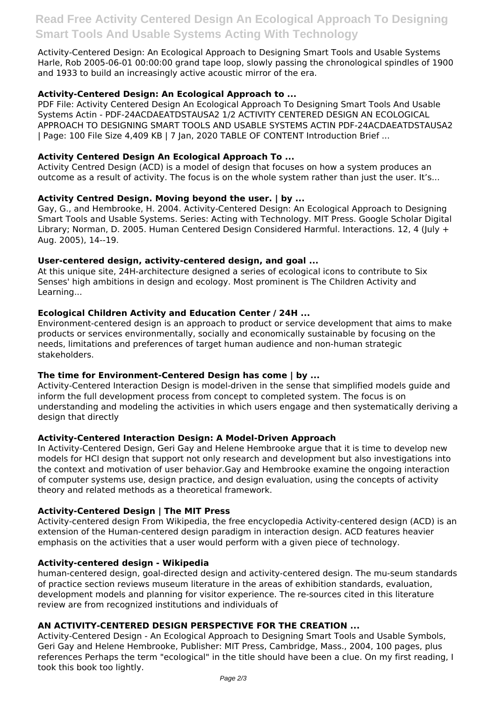Activity-Centered Design: An Ecological Approach to Designing Smart Tools and Usable Systems Harle, Rob 2005-06-01 00:00:00 grand tape loop, slowly passing the chronological spindles of 1900 and 1933 to build an increasingly active acoustic mirror of the era.

## **Activity-Centered Design: An Ecological Approach to ...**

PDF File: Activity Centered Design An Ecological Approach To Designing Smart Tools And Usable Systems Actin - PDF-24ACDAEATDSTAUSA2 1/2 ACTIVITY CENTERED DESIGN AN ECOLOGICAL APPROACH TO DESIGNING SMART TOOLS AND USABLE SYSTEMS ACTIN PDF-24ACDAEATDSTAUSA2 | Page: 100 File Size 4,409 KB | 7 Jan, 2020 TABLE OF CONTENT Introduction Brief ...

## **Activity Centered Design An Ecological Approach To ...**

Activity Centred Design (ACD) is a model of design that focuses on how a system produces an outcome as a result of activity. The focus is on the whole system rather than just the user. It's...

## **Activity Centred Design. Moving beyond the user. | by ...**

Gay, G., and Hembrooke, H. 2004. Activity-Centered Design: An Ecological Approach to Designing Smart Tools and Usable Systems. Series: Acting with Technology. MIT Press. Google Scholar Digital Library; Norman, D. 2005. Human Centered Design Considered Harmful. Interactions. 12, 4 (July + Aug. 2005), 14--19.

## **User-centered design, activity-centered design, and goal ...**

At this unique site, 24H-architecture designed a series of ecological icons to contribute to Six Senses' high ambitions in design and ecology. Most prominent is The Children Activity and Learning...

## **Ecological Children Activity and Education Center / 24H ...**

Environment-centered design is an approach to product or service development that aims to make products or services environmentally, socially and economically sustainable by focusing on the needs, limitations and preferences of target human audience and non-human strategic stakeholders.

## **The time for Environment-Centered Design has come | by ...**

Activity-Centered Interaction Design is model-driven in the sense that simplified models guide and inform the full development process from concept to completed system. The focus is on understanding and modeling the activities in which users engage and then systematically deriving a design that directly

## **Activity-Centered Interaction Design: A Model-Driven Approach**

In Activity-Centered Design, Geri Gay and Helene Hembrooke argue that it is time to develop new models for HCI design that support not only research and development but also investigations into the context and motivation of user behavior.Gay and Hembrooke examine the ongoing interaction of computer systems use, design practice, and design evaluation, using the concepts of activity theory and related methods as a theoretical framework.

## **Activity-Centered Design | The MIT Press**

Activity-centered design From Wikipedia, the free encyclopedia Activity-centered design (ACD) is an extension of the Human-centered design paradigm in interaction design. ACD features heavier emphasis on the activities that a user would perform with a given piece of technology.

## **Activity-centered design - Wikipedia**

human-centered design, goal-directed design and activity-centered design. The mu-seum standards of practice section reviews museum literature in the areas of exhibition standards, evaluation, development models and planning for visitor experience. The re-sources cited in this literature review are from recognized institutions and individuals of

## **AN ACTIVITY-CENTERED DESIGN PERSPECTIVE FOR THE CREATION ...**

Activity-Centered Design - An Ecological Approach to Designing Smart Tools and Usable Symbols, Geri Gay and Helene Hembrooke, Publisher: MIT Press, Cambridge, Mass., 2004, 100 pages, plus references Perhaps the term "ecological" in the title should have been a clue. On my first reading, I took this book too lightly.